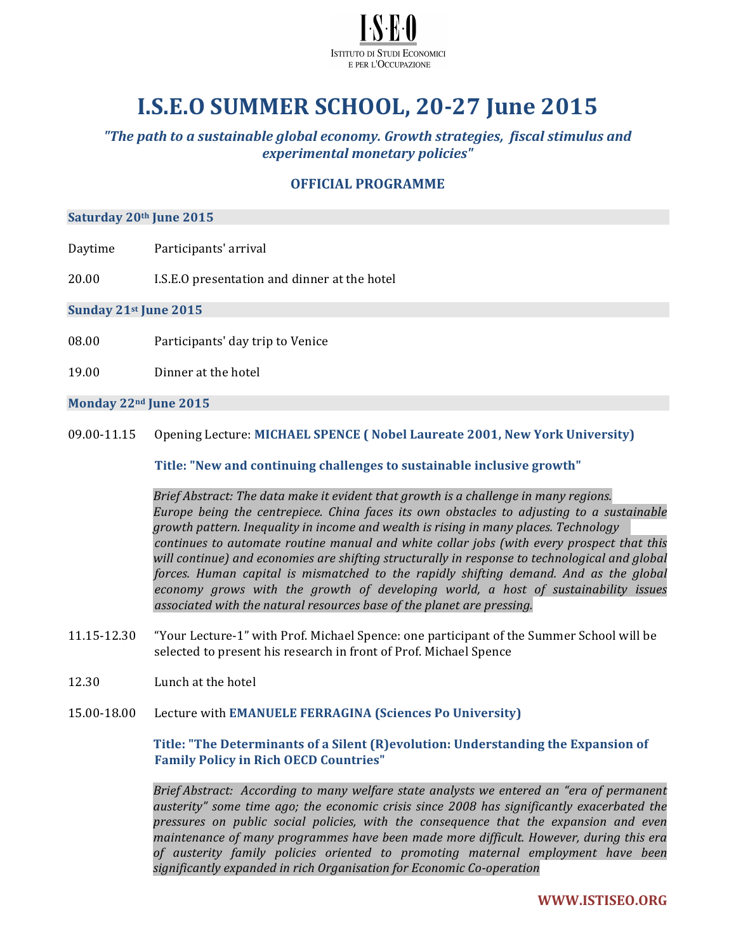

# **I.S.E.O SUMMER SCHOOL, 20-27 June 2015**

*"The path to a sustainable global economy. Growth strategies, fiscal stimulus and experimental monetary policies"*

# **OFFICIAL PROGRAMME**

## Saturday 20<sup>th</sup> June 2015

- Daytime Participants' arrival
- 20.00 I.S.E.O presentation and dinner at the hotel

# **Sunday 21st June 2015**

- 08.00 Participants' day trip to Venice
- 19.00 Dinner at the hotel

#### **Monday 22nd June 2015**

09.00-11.15 Opening Lecture: MICHAEL SPENCE **(** Nobel Laureate 2001, New York University)

**Title:** "New and continuing challenges to sustainable inclusive growth"

*Brief Abstract: The data make it evident that growth is a challenge in many regions. Europe* being the centrepiece. China faces its own obstacles to adjusting to a sustainable growth pattern. Inequality in income and wealth is rising in many places. Technology *continues to automate routine manual and white collar jobs (with every prospect that this* will continue) and economies are shifting structurally in response to technological and global *forces. Human capital is mismatched to the rapidly shifting demand. And as the global* economy grows with the growth of developing world, a host of sustainability issues associated with the natural resources base of the planet are pressing.

- 11.15-12.30 "Your Lecture-1" with Prof. Michael Spence: one participant of the Summer School will be selected to present his research in front of Prof. Michael Spence
- 12.30 Lunch at the hotel
- 15.00-18.00 Lecture with **EMANUELE FERRAGINA (Sciences Po University)**

# **Title: "The Determinants of a Silent (R)evolution: Understanding the Expansion of Family Policy in Rich OECD Countries"**

*Brief Abstract: According to many welfare state analysts we entered an "era of permanent* dusterity" some time ago; the economic crisis since 2008 has significantly exacerbated the *pressures on public social policies, with the consequence that the expansion and even*  maintenance of many programmes have been made more difficult. However, during this era of austerity family policies oriented to promoting maternal employment have been significantly expanded in rich Organisation for *Economic Co-operation*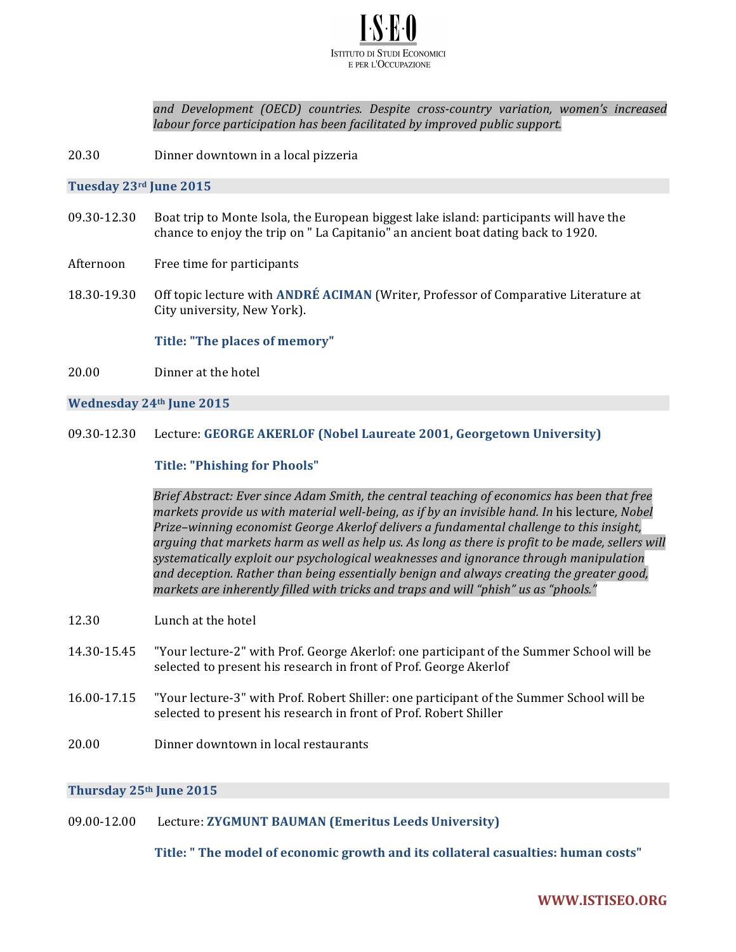

*and Development (OECD) countries. Despite cross-country variation, women's increased labour force participation has been facilitated by improved public support.* 

20.30 Dinner downtown in a local pizzeria

#### **Tuesday 23rd June 2015**

- 09.30-12.30 Boat trip to Monte Isola, the European biggest lake island: participants will have the chance to enjoy the trip on " La Capitanio" an ancient boat dating back to 1920.
- Afternoon Free time for participants
- 18.30-19.30 Off topic lecture with **ANDRÉ ACIMAN** (Writer, Professor of Comparative Literature at City university, New York).

#### Title: "The places of memory"

20.00 Dinner at the hotel

## **Wednesday 24th June 2015**

#### 09.30-12.30 Lecture: **GEORGE AKERLOF (Nobel Laureate 2001, Georgetown University)**

#### **Title: "Phishing for Phools"**

Brief Abstract: Ever since Adam Smith, the central teaching of economics has been that free *markets* provide us with material well-being, as if by an invisible hand. In his lecture, Nobel *Prize-winning economist George Akerlof delivers a fundamental challenge to this insight,* arguing that markets harm as well as help us. As long as there is profit to be made, sellers will systematically exploit our psychological weaknesses and ignorance through manipulation and deception. Rather than being essentially benign and always creating the greater good, markets are inherently filled with tricks and traps and will "phish" us as "phools."

- 12.30 Lunch at the hotel
- 14.30-15.45 "Your lecture-2" with Prof. George Akerlof: one participant of the Summer School will be selected to present his research in front of Prof. George Akerlof
- 16.00-17.15 "Your lecture-3" with Prof. Robert Shiller: one participant of the Summer School will be selected to present his research in front of Prof. Robert Shiller
- 20.00 Dinner downtown in local restaurants

#### **Thursday 25th June 2015**

# 09.00-12.00 Lecture: **ZYGMUNT BAUMAN (Emeritus Leeds University)**

**Title:** " The model of economic growth and its collateral casualties: human costs"